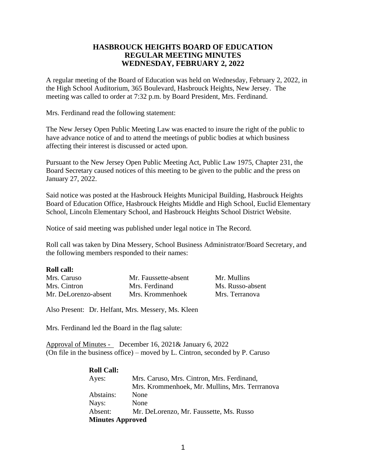# **HASBROUCK HEIGHTS BOARD OF EDUCATION REGULAR MEETING MINUTES WEDNESDAY, FEBRUARY 2, 2022**

A regular meeting of the Board of Education was held on Wednesday, February 2, 2022, in the High School Auditorium, 365 Boulevard, Hasbrouck Heights, New Jersey. The meeting was called to order at 7:32 p.m. by Board President, Mrs. Ferdinand.

Mrs. Ferdinand read the following statement:

The New Jersey Open Public Meeting Law was enacted to insure the right of the public to have advance notice of and to attend the meetings of public bodies at which business affecting their interest is discussed or acted upon.

Pursuant to the New Jersey Open Public Meeting Act, Public Law 1975, Chapter 231, the Board Secretary caused notices of this meeting to be given to the public and the press on January 27, 2022.

Said notice was posted at the Hasbrouck Heights Municipal Building, Hasbrouck Heights Board of Education Office, Hasbrouck Heights Middle and High School, Euclid Elementary School, Lincoln Elementary School, and Hasbrouck Heights School District Website.

Notice of said meeting was published under legal notice in The Record.

Roll call was taken by Dina Messery, School Business Administrator/Board Secretary, and the following members responded to their names:

#### **Roll call:**

| Mrs. Caruso          | Mr. Faussette-absent | Mr. Mullins      |
|----------------------|----------------------|------------------|
| Mrs. Cintron         | Mrs. Ferdinand       | Ms. Russo-absent |
| Mr. DeLorenzo-absent | Mrs. Krommenhoek     | Mrs. Terranova   |

Also Present: Dr. Helfant, Mrs. Messery, Ms. Kleen

Mrs. Ferdinand led the Board in the flag salute:

Approval of Minutes - December 16, 2021& January 6, 2022 (On file in the business office) – moved by L. Cintron, seconded by P. Caruso

| <b>Roll Call:</b>       |                                               |
|-------------------------|-----------------------------------------------|
| Ayes:                   | Mrs. Caruso, Mrs. Cintron, Mrs. Ferdinand,    |
|                         | Mrs. Krommenhoek, Mr. Mullins, Mrs. Terranova |
| Abstains:               | None                                          |
| Nays:                   | None                                          |
| Absent:                 | Mr. DeLorenzo, Mr. Faussette, Ms. Russo       |
| <b>Minutes Approved</b> |                                               |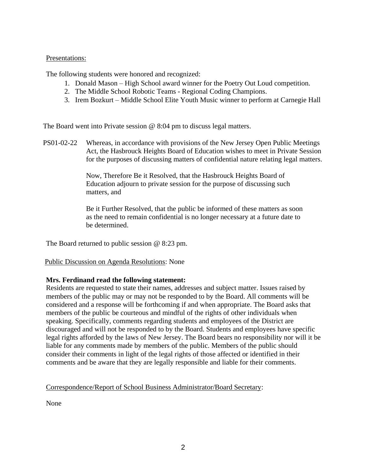# Presentations:

The following students were honored and recognized:

- 1. Donald Mason High School award winner for the Poetry Out Loud competition.
- 2. The Middle School Robotic Teams Regional Coding Champions.
- 3. Irem Bozkurt Middle School Elite Youth Music winner to perform at Carnegie Hall

The Board went into Private session @ 8:04 pm to discuss legal matters.

PS01-02-22 Whereas, in accordance with provisions of the New Jersey Open Public Meetings Act, the Hasbrouck Heights Board of Education wishes to meet in Private Session for the purposes of discussing matters of confidential nature relating legal matters.

> Now, Therefore Be it Resolved, that the Hasbrouck Heights Board of Education adjourn to private session for the purpose of discussing such matters, and

Be it Further Resolved, that the public be informed of these matters as soon as the need to remain confidential is no longer necessary at a future date to be determined.

The Board returned to public session @ 8:23 pm.

# Public Discussion on Agenda Resolutions: None

# **Mrs. Ferdinand read the following statement:**

Residents are requested to state their names, addresses and subject matter. Issues raised by members of the public may or may not be responded to by the Board. All comments will be considered and a response will be forthcoming if and when appropriate. The Board asks that members of the public be courteous and mindful of the rights of other individuals when speaking. Specifically, comments regarding students and employees of the District are discouraged and will not be responded to by the Board. Students and employees have specific legal rights afforded by the laws of New Jersey. The Board bears no responsibility nor will it be liable for any comments made by members of the public. Members of the public should consider their comments in light of the legal rights of those affected or identified in their comments and be aware that they are legally responsible and liable for their comments.

# Correspondence/Report of School Business Administrator/Board Secretary:

None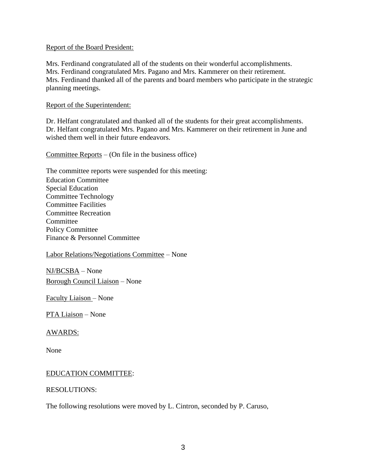# Report of the Board President:

Mrs. Ferdinand congratulated all of the students on their wonderful accomplishments. Mrs. Ferdinand congratulated Mrs. Pagano and Mrs. Kammerer on their retirement. Mrs. Ferdinand thanked all of the parents and board members who participate in the strategic planning meetings.

# Report of the Superintendent:

Dr. Helfant congratulated and thanked all of the students for their great accomplishments. Dr. Helfant congratulated Mrs. Pagano and Mrs. Kammerer on their retirement in June and wished them well in their future endeavors.

Committee Reports – (On file in the business office)

The committee reports were suspended for this meeting: Education Committee Special Education Committee Technology Committee Facilities Committee Recreation **Committee** Policy Committee Finance & Personnel Committee

Labor Relations/Negotiations Committee – None

NJ/BCSBA – None Borough Council Liaison – None

Faculty Liaison – None

PTA Liaison – None

# AWARDS:

None

# EDUCATION COMMITTEE:

#### RESOLUTIONS:

The following resolutions were moved by L. Cintron, seconded by P. Caruso,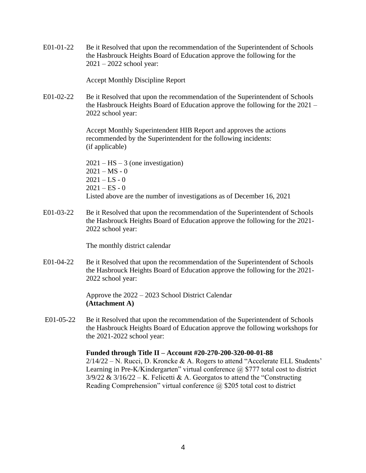E01-01-22 Be it Resolved that upon the recommendation of the Superintendent of Schools the Hasbrouck Heights Board of Education approve the following for the 2021 – 2022 school year:

Accept Monthly Discipline Report

E01-02-22 Be it Resolved that upon the recommendation of the Superintendent of Schools the Hasbrouck Heights Board of Education approve the following for the 2021 – 2022 school year:

> Accept Monthly Superintendent HIB Report and approves the actions recommended by the Superintendent for the following incidents: (if applicable)

 $2021 - HS - 3$  (one investigation)  $2021 - MS - 0$  $2021 - LS - 0$  $2021 - ES - 0$ Listed above are the number of investigations as of December 16, 2021

E01-03-22 Be it Resolved that upon the recommendation of the Superintendent of Schools the Hasbrouck Heights Board of Education approve the following for the 2021- 2022 school year:

The monthly district calendar

E01-04-22 Be it Resolved that upon the recommendation of the Superintendent of Schools the Hasbrouck Heights Board of Education approve the following for the 2021- 2022 school year:

> Approve the 2022 – 2023 School District Calendar **(Attachment A)**

E01-05-22 Be it Resolved that upon the recommendation of the Superintendent of Schools the Hasbrouck Heights Board of Education approve the following workshops for the 2021-2022 school year:

# **Funded through Title II – Account #20-270-200-320-00-01-88**

 $2/14/22 - N$ . Rucci, D. Kroncke & A. Rogers to attend "Accelerate ELL Students" Learning in Pre-K/Kindergarten" virtual conference  $\omega$  \$777 total cost to district  $3/9/22 \& 3/16/22 - K$ . Felicetti & A. Georgatos to attend the "Constructing" Reading Comprehension" virtual conference  $\omega$  \$205 total cost to district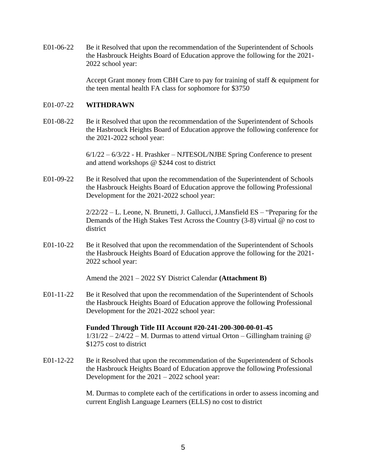E01-06-22 Be it Resolved that upon the recommendation of the Superintendent of Schools the Hasbrouck Heights Board of Education approve the following for the 2021- 2022 school year:

> Accept Grant money from CBH Care to pay for training of staff & equipment for the teen mental health FA class for sophomore for \$3750

### E01-07-22 **WITHDRAWN**

E01-08-22 Be it Resolved that upon the recommendation of the Superintendent of Schools the Hasbrouck Heights Board of Education approve the following conference for the 2021-2022 school year:

> 6/1/22 – 6/3/22 - H. Prashker – NJTESOL/NJBE Spring Conference to present and attend workshops @ \$244 cost to district

E01-09-22 Be it Resolved that upon the recommendation of the Superintendent of Schools the Hasbrouck Heights Board of Education approve the following Professional Development for the 2021-2022 school year:

> $2/22/22 - L$ . Leone, N. Brunetti, J. Gallucci, J. Mansfield ES – "Preparing for the Demands of the High Stakes Test Across the Country (3-8) virtual @ no cost to district

E01-10-22 Be it Resolved that upon the recommendation of the Superintendent of Schools the Hasbrouck Heights Board of Education approve the following for the 2021- 2022 school year:

Amend the 2021 – 2022 SY District Calendar **(Attachment B)**

E01-11-22 Be it Resolved that upon the recommendation of the Superintendent of Schools the Hasbrouck Heights Board of Education approve the following Professional Development for the 2021-2022 school year:

> **Funded Through Title III Account #20-241-200-300-00-01-45**  $1/31/22 - 2/4/22 - M$ . Durmas to attend virtual Orton – Gillingham training @ \$1275 cost to district

E01-12-22 Be it Resolved that upon the recommendation of the Superintendent of Schools the Hasbrouck Heights Board of Education approve the following Professional Development for the 2021 – 2022 school year:

> M. Durmas to complete each of the certifications in order to assess incoming and current English Language Learners (ELLS) no cost to district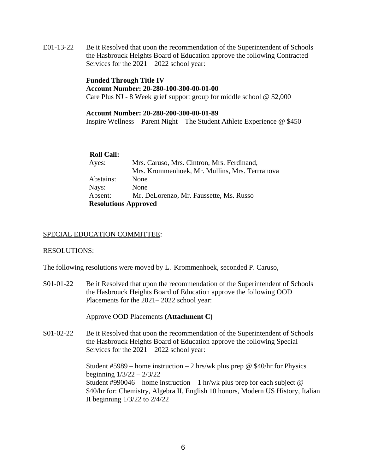E01-13-22 Be it Resolved that upon the recommendation of the Superintendent of Schools the Hasbrouck Heights Board of Education approve the following Contracted Services for the 2021 – 2022 school year:

> **Funded Through Title IV Account Number: 20-280-100-300-00-01-00** Care Plus NJ - 8 Week grief support group for middle school @ \$2,000

### **Account Number: 20-280-200-300-00-01-89**

Inspire Wellness – Parent Night – The Student Athlete Experience @ \$450

#### **Roll Call:**

| Ayes:                       | Mrs. Caruso, Mrs. Cintron, Mrs. Ferdinand,     |
|-----------------------------|------------------------------------------------|
|                             | Mrs. Krommenhoek, Mr. Mullins, Mrs. Terrranova |
| Abstains:                   | None                                           |
| Nays:                       | None                                           |
| Absent:                     | Mr. DeLorenzo, Mr. Faussette, Ms. Russo        |
| <b>Resolutions Approved</b> |                                                |

### SPECIAL EDUCATION COMMITTEE:

#### RESOLUTIONS:

The following resolutions were moved by L. Krommenhoek, seconded P. Caruso,

S01-01-22 Be it Resolved that upon the recommendation of the Superintendent of Schools the Hasbrouck Heights Board of Education approve the following OOD Placements for the 2021– 2022 school year:

Approve OOD Placements **(Attachment C)**

S01-02-22 Be it Resolved that upon the recommendation of the Superintendent of Schools the Hasbrouck Heights Board of Education approve the following Special Services for the 2021 – 2022 school year:

> Student #5989 – home instruction – 2 hrs/wk plus prep @ \$40/hr for Physics beginning 1/3/22 – 2/3/22 Student #990046 – home instruction – 1 hr/wk plus prep for each subject  $@$ \$40/hr for: Chemistry, Algebra II, English 10 honors, Modern US History, Italian II beginning 1/3/22 to 2/4/22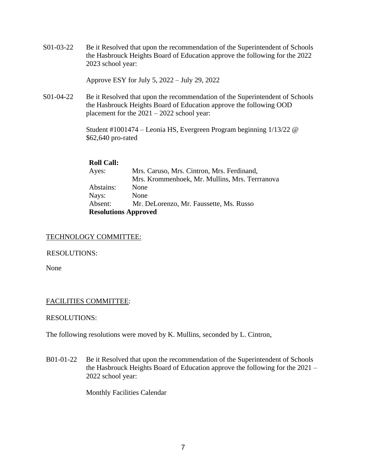S01-03-22 Be it Resolved that upon the recommendation of the Superintendent of Schools the Hasbrouck Heights Board of Education approve the following for the 2022 2023 school year:

Approve ESY for July 5, 2022 – July 29, 2022

S01-04-22 Be it Resolved that upon the recommendation of the Superintendent of Schools the Hasbrouck Heights Board of Education approve the following OOD placement for the 2021 – 2022 school year:

> Student #1001474 – Leonia HS, Evergreen Program beginning 1/13/22 @ \$62,640 pro-rated

# **Roll Call:**

| Ayes:                       | Mrs. Caruso, Mrs. Cintron, Mrs. Ferdinand,     |
|-----------------------------|------------------------------------------------|
|                             | Mrs. Krommenhoek, Mr. Mullins, Mrs. Terrranova |
| Abstains:                   | None                                           |
| Nays:                       | None                                           |
| Absent:                     | Mr. DeLorenzo, Mr. Faussette, Ms. Russo        |
| <b>Resolutions Approved</b> |                                                |

# TECHNOLOGY COMMITTEE:

# RESOLUTIONS:

None

# FACILITIES COMMITTEE:

# RESOLUTIONS:

The following resolutions were moved by K. Mullins, seconded by L. Cintron,

B01-01-22 Be it Resolved that upon the recommendation of the Superintendent of Schools the Hasbrouck Heights Board of Education approve the following for the 2021 – 2022 school year:

Monthly Facilities Calendar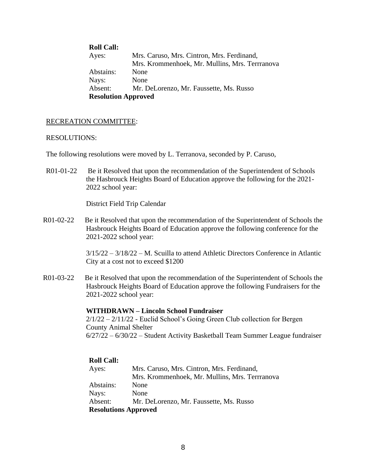| <b>Roll Call:</b>          |                                                |
|----------------------------|------------------------------------------------|
| Ayes:                      | Mrs. Caruso, Mrs. Cintron, Mrs. Ferdinand,     |
|                            | Mrs. Krommenhoek, Mr. Mullins, Mrs. Terrranova |
| Abstains:                  | None                                           |
| Nays:                      | None                                           |
| Absent:                    | Mr. DeLorenzo, Mr. Faussette, Ms. Russo        |
| <b>Resolution Approved</b> |                                                |

# RECREATION COMMITTEE:

#### RESOLUTIONS:

The following resolutions were moved by L. Terranova, seconded by P. Caruso,

R01-01-22 Be it Resolved that upon the recommendation of the Superintendent of Schools the Hasbrouck Heights Board of Education approve the following for the 2021- 2022 school year:

District Field Trip Calendar

R01-02-22 Be it Resolved that upon the recommendation of the Superintendent of Schools the Hasbrouck Heights Board of Education approve the following conference for the 2021-2022 school year:

> 3/15/22 – 3/18/22 – M. Scuilla to attend Athletic Directors Conference in Atlantic City at a cost not to exceed \$1200

R01-03-22 Be it Resolved that upon the recommendation of the Superintendent of Schools the Hasbrouck Heights Board of Education approve the following Fundraisers for the 2021-2022 school year:

#### **WITHDRAWN – Lincoln School Fundraiser**

 $2/1/22 - 2/11/22$  - Euclid School's Going Green Club collection for Bergen County Animal Shelter 6/27/22 – 6/30/22 – Student Activity Basketball Team Summer League fundraiser

| <b>Roll Call:</b>           |                                                |
|-----------------------------|------------------------------------------------|
| Ayes:                       | Mrs. Caruso, Mrs. Cintron, Mrs. Ferdinand,     |
|                             | Mrs. Krommenhoek, Mr. Mullins, Mrs. Terrranova |
| Abstains:                   | None                                           |
| Nays:                       | None                                           |
| Absent:                     | Mr. DeLorenzo, Mr. Faussette, Ms. Russo        |
| <b>Resolutions Approved</b> |                                                |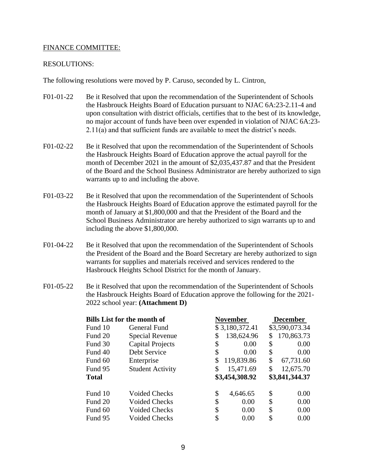# FINANCE COMMITTEE:

#### RESOLUTIONS:

The following resolutions were moved by P. Caruso, seconded by L. Cintron,

- F01-01-22 Be it Resolved that upon the recommendation of the Superintendent of Schools the Hasbrouck Heights Board of Education pursuant to NJAC 6A:23-2.11-4 and upon consultation with district officials, certifies that to the best of its knowledge, no major account of funds have been over expended in violation of NJAC 6A:23- 2.11(a) and that sufficient funds are available to meet the district's needs.
- F01-02-22 Be it Resolved that upon the recommendation of the Superintendent of Schools the Hasbrouck Heights Board of Education approve the actual payroll for the month of December 2021 in the amount of \$2,035,437.87 and that the President of the Board and the School Business Administrator are hereby authorized to sign warrants up to and including the above.
- F01-03-22 Be it Resolved that upon the recommendation of the Superintendent of Schools the Hasbrouck Heights Board of Education approve the estimated payroll for the month of January at \$1,800,000 and that the President of the Board and the School Business Administrator are hereby authorized to sign warrants up to and including the above \$1,800,000.
- F01-04-22 Be it Resolved that upon the recommendation of the Superintendent of Schools the President of the Board and the Board Secretary are hereby authorized to sign warrants for supplies and materials received and services rendered to the Hasbrouck Heights School District for the month of January.
- F01-05-22 Be it Resolved that upon the recommendation of the Superintendent of Schools the Hasbrouck Heights Board of Education approve the following for the 2021- 2022 school year: **(Attachment D)**

| <b>Bills List for the month of</b> |                         | <b>November</b>  |    | <b>December</b> |
|------------------------------------|-------------------------|------------------|----|-----------------|
| Fund 10                            | General Fund            | \$3,180,372.41   |    | \$3,590,073.34  |
| Fund 20                            | Special Revenue         | \$<br>138,624.96 | S  | 170,863.73      |
| Fund 30                            | <b>Capital Projects</b> | \$<br>0.00       | \$ | 0.00            |
| Fund 40                            | Debt Service            | \$<br>0.00       | \$ | 0.00            |
| Fund 60                            | Enterprise              | \$<br>119,839.86 | \$ | 67,731.60       |
| Fund 95                            | <b>Student Activity</b> | \$<br>15,471.69  | \$ | 12,675.70       |
| <b>Total</b>                       |                         | \$3,454,308.92   |    | \$3,841,344.37  |
| Fund 10                            | <b>Voided Checks</b>    | \$<br>4,646.65   | \$ | 0.00            |
| Fund 20                            | <b>Voided Checks</b>    | \$<br>0.00       | \$ | 0.00            |
| Fund 60                            | <b>Voided Checks</b>    | \$<br>0.00       | \$ | 0.00            |
| Fund 95                            | <b>Voided Checks</b>    | \$<br>0.00       | \$ | 0.00            |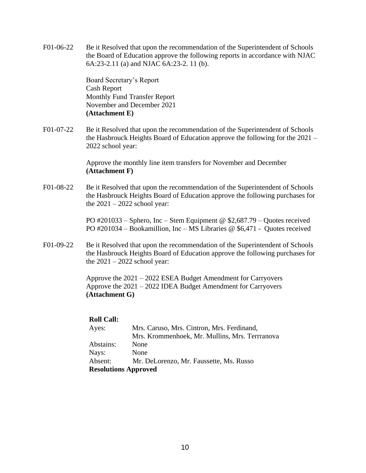F01-06-22 Be it Resolved that upon the recommendation of the Superintendent of Schools the Board of Education approve the following reports in accordance with NJAC 6A:23-2.11 (a) and NJAC 6A:23-2. 11 (b).

> Board Secretary's Report Cash Report Monthly Fund Transfer Report November and December 2021 **(Attachment E)**

F01-07-22 Be it Resolved that upon the recommendation of the Superintendent of Schools the Hasbrouck Heights Board of Education approve the following for the 2021 – 2022 school year:

> Approve the monthly line item transfers for November and December **(Attachment F)**

F01-08-22 Be it Resolved that upon the recommendation of the Superintendent of Schools the Hasbrouck Heights Board of Education approve the following purchases for the  $2021 - 2022$  school year:

> PO #201033 – Sphero, Inc – Stem Equipment @ \$2,687.79 – Quotes received PO #201034 – Bookamillion, Inc – MS Libraries @ \$6,471 - Quotes received

F01-09-22 Be it Resolved that upon the recommendation of the Superintendent of Schools the Hasbrouck Heights Board of Education approve the following purchases for the  $2021 - 2022$  school year:

> Approve the 2021 – 2022 ESEA Budget Amendment for Carryovers Approve the 2021 – 2022 IDEA Budget Amendment for Carryovers **(Attachment G)**

# **Roll Call:**

| Ayes:     | Mrs. Caruso, Mrs. Cintron, Mrs. Ferdinand,     |
|-----------|------------------------------------------------|
|           | Mrs. Krommenhoek, Mr. Mullins, Mrs. Terrranova |
| Abstains: | None                                           |
| Nays:     | None                                           |
| Absent:   | Mr. DeLorenzo, Mr. Faussette, Ms. Russo        |
|           | <b>Resolutions Approved</b>                    |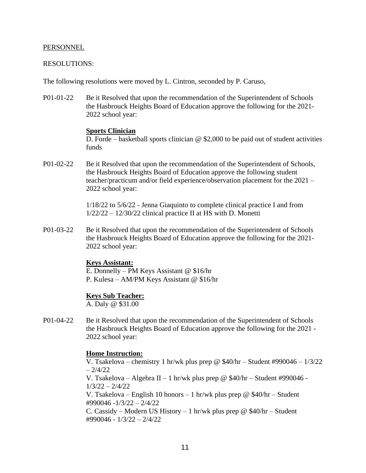#### PERSONNEL

#### RESOLUTIONS:

The following resolutions were moved by L. Cintron, seconded by P. Caruso,

P01-01-22 Be it Resolved that upon the recommendation of the Superintendent of Schools the Hasbrouck Heights Board of Education approve the following for the 2021- 2022 school year:

#### **Sports Clinician**

D. Forde – basketball sports clinician  $\omega$  \$2,000 to be paid out of student activities funds

P01-02-22 Be it Resolved that upon the recommendation of the Superintendent of Schools, the Hasbrouck Heights Board of Education approve the following student teacher/practicum and/or field experience/observation placement for the 2021 – 2022 school year:

> 1/18/22 to 5/6/22 - Jenna Giaquinto to complete clinical practice I and from  $1/22/22 - 12/30/22$  clinical practice II at HS with D. Monetti

P01-03-22 Be it Resolved that upon the recommendation of the Superintendent of Schools the Hasbrouck Heights Board of Education approve the following for the 2021- 2022 school year:

#### **Keys Assistant:**

E. Donnelly – PM Keys Assistant @ \$16/hr P. Kulesa – AM/PM Keys Assistant @ \$16/hr

#### **Keys Sub Teacher:**

A. Daly @ \$31.00

P01-04-22 Be it Resolved that upon the recommendation of the Superintendent of Schools the Hasbrouck Heights Board of Education approve the following for the 2021 - 2022 school year:

# **Home Instruction:**

V. Tsakelova – chemistry 1 hr/wk plus prep @  $$40/hr - Student #990046 - 1/3/22$  $-2/4/22$ V. Tsakelova – Algebra II – 1 hr/wk plus prep @  $$40/hr - Student #990046 -$ 1/3/22 – 2/4/22 V. Tsakelova – English 10 honors – 1 hr/wk plus prep @ \$40/hr – Student #990046 -1/3/22 – 2/4/22 C. Cassidy – Modern US History – 1 hr/wk plus prep @  $$40/hr - Student$ #990046 - 1/3/22 – 2/4/22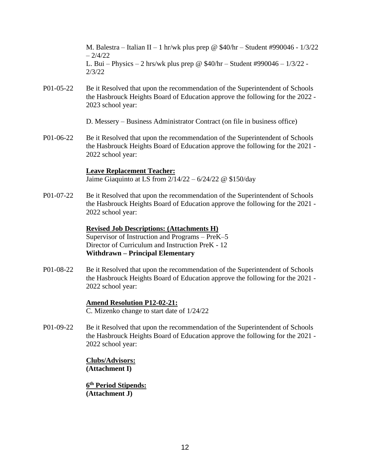M. Balestra – Italian II – 1 hr/wk plus prep @ \$40/hr – Student #990046 -  $1/3/22$  $-2/4/22$ L. Bui – Physics – 2 hrs/wk plus prep @  $$40/hr - Student #990046 - 1/3/22 -$ 2/3/22

P01-05-22 Be it Resolved that upon the recommendation of the Superintendent of Schools the Hasbrouck Heights Board of Education approve the following for the 2022 - 2023 school year:

D. Messery – Business Administrator Contract (on file in business office)

P01-06-22 Be it Resolved that upon the recommendation of the Superintendent of Schools the Hasbrouck Heights Board of Education approve the following for the 2021 - 2022 school year:

# **Leave Replacement Teacher:**

Jaime Giaquinto at LS from 2/14/22 – 6/24/22 @ \$150/day

P01-07-22 Be it Resolved that upon the recommendation of the Superintendent of Schools the Hasbrouck Heights Board of Education approve the following for the 2021 - 2022 school year:

# **Revised Job Descriptions: (Attachments H)**

Supervisor of Instruction and Programs – PreK–5 Director of Curriculum and Instruction PreK - 12 **Withdrawn – Principal Elementary**

P01-08-22 Be it Resolved that upon the recommendation of the Superintendent of Schools the Hasbrouck Heights Board of Education approve the following for the 2021 - 2022 school year:

# **Amend Resolution P12-02-21:**

C. Mizenko change to start date of 1/24/22

P01-09-22 Be it Resolved that upon the recommendation of the Superintendent of Schools the Hasbrouck Heights Board of Education approve the following for the 2021 - 2022 school year:

> **Clubs/Advisors: (Attachment I)**

**6 th Period Stipends: (Attachment J)**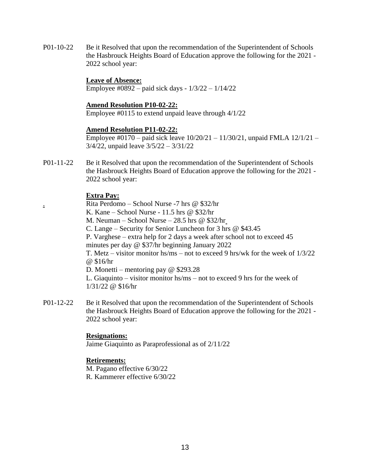P01-10-22 Be it Resolved that upon the recommendation of the Superintendent of Schools the Hasbrouck Heights Board of Education approve the following for the 2021 - 2022 school year:

# **Leave of Absence:**

Employee #0892 – paid sick days - 1/3/22 – 1/14/22

### **Amend Resolution P10-02-22:**

Employee #0115 to extend unpaid leave through 4/1/22

# **Amend Resolution P11-02-22:**

Employee #0170 – paid sick leave 10/20/21 – 11/30/21, unpaid FMLA 12/1/21 – 3/4/22, unpaid leave 3/5/22 – 3/31/22

P01-11-22 Be it Resolved that upon the recommendation of the Superintendent of Schools the Hasbrouck Heights Board of Education approve the following for the 2021 - 2022 school year:

# **Extra Pay:**

. Rita Perdomo – School Nurse -7 hrs @ \$32/hr K. Kane – School Nurse - 11.5 hrs @ \$32/hr M. Neuman – School Nurse – 28.5 hrs @ \$32/hr C. Lange – Security for Senior Luncheon for 3 hrs @ \$43.45 P. Varghese – extra help for 2 days a week after school not to exceed 45 minutes per day @ \$37/hr beginning January 2022 T. Metz – visitor monitor hs/ms – not to exceed 9 hrs/wk for the week of 1/3/22 @ \$16/hr D. Monetti – mentoring pay @ \$293.28 L. Giaquinto – visitor monitor hs/ms – not to exceed 9 hrs for the week of 1/31/22 @ \$16/hr

P01-12-22 Be it Resolved that upon the recommendation of the Superintendent of Schools the Hasbrouck Heights Board of Education approve the following for the 2021 - 2022 school year:

# **Resignations:**

Jaime Giaquinto as Paraprofessional as of 2/11/22

# **Retirements:**

M. Pagano effective 6/30/22 R. Kammerer effective 6/30/22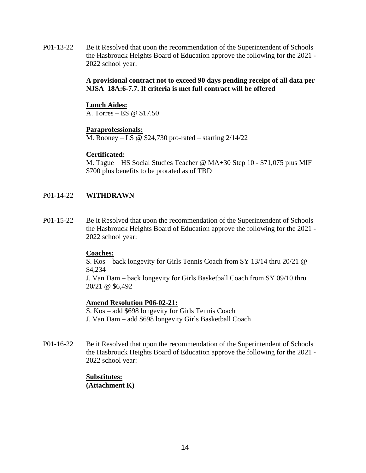P01-13-22 Be it Resolved that upon the recommendation of the Superintendent of Schools the Hasbrouck Heights Board of Education approve the following for the 2021 - 2022 school year:

# **A provisional contract not to exceed 90 days pending receipt of all data per NJSA 18A:6-7.7. If criteria is met full contract will be offered**

# **Lunch Aides:**

A. Torres – ES @ \$17.50

# **Paraprofessionals:**

M. Rooney – LS @ \$24,730 pro-rated – starting 2/14/22

# **Certificated:**

M. Tague – HS Social Studies Teacher @ MA+30 Step 10 - \$71,075 plus MIF \$700 plus benefits to be prorated as of TBD

# P01-14-22 **WITHDRAWN**

P01-15-22 Be it Resolved that upon the recommendation of the Superintendent of Schools the Hasbrouck Heights Board of Education approve the following for the 2021 - 2022 school year:

# **Coaches:**

S. Kos – back longevity for Girls Tennis Coach from SY 13/14 thru 20/21 @ \$4,234

J. Van Dam – back longevity for Girls Basketball Coach from SY 09/10 thru 20/21 @ \$6,492

# **Amend Resolution P06-02-21:**

S. Kos – add \$698 longevity for Girls Tennis Coach J. Van Dam – add \$698 longevity Girls Basketball Coach

P01-16-22 Be it Resolved that upon the recommendation of the Superintendent of Schools the Hasbrouck Heights Board of Education approve the following for the 2021 - 2022 school year:

# **Substitutes: (Attachment K)**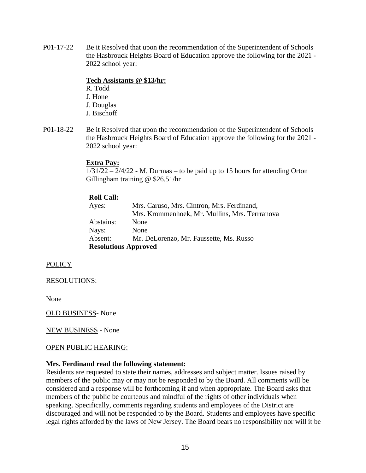P01-17-22 Be it Resolved that upon the recommendation of the Superintendent of Schools the Hasbrouck Heights Board of Education approve the following for the 2021 - 2022 school year:

# **Tech Assistants @ \$13/hr:**

- R. Todd J. Hone J. Douglas J. Bischoff
- P01-18-22 Be it Resolved that upon the recommendation of the Superintendent of Schools the Hasbrouck Heights Board of Education approve the following for the 2021 - 2022 school year:

# **Extra Pay:**

 $1/31/22 - 2/4/22$  - M. Durmas – to be paid up to 15 hours for attending Orton Gillingham training @ \$26.51/hr

# **Roll Call:**

| Ayes:                       | Mrs. Caruso, Mrs. Cintron, Mrs. Ferdinand,     |
|-----------------------------|------------------------------------------------|
|                             | Mrs. Krommenhoek, Mr. Mullins, Mrs. Terrranova |
| Abstains:                   | None                                           |
| Nays:                       | None                                           |
| Absent:                     | Mr. DeLorenzo, Mr. Faussette, Ms. Russo        |
| <b>Resolutions Approved</b> |                                                |

POLICY

RESOLUTIONS:

None

OLD BUSINESS- None

NEW BUSINESS - None

# OPEN PUBLIC HEARING:

# **Mrs. Ferdinand read the following statement:**

Residents are requested to state their names, addresses and subject matter. Issues raised by members of the public may or may not be responded to by the Board. All comments will be considered and a response will be forthcoming if and when appropriate. The Board asks that members of the public be courteous and mindful of the rights of other individuals when speaking. Specifically, comments regarding students and employees of the District are discouraged and will not be responded to by the Board. Students and employees have specific legal rights afforded by the laws of New Jersey. The Board bears no responsibility nor will it be